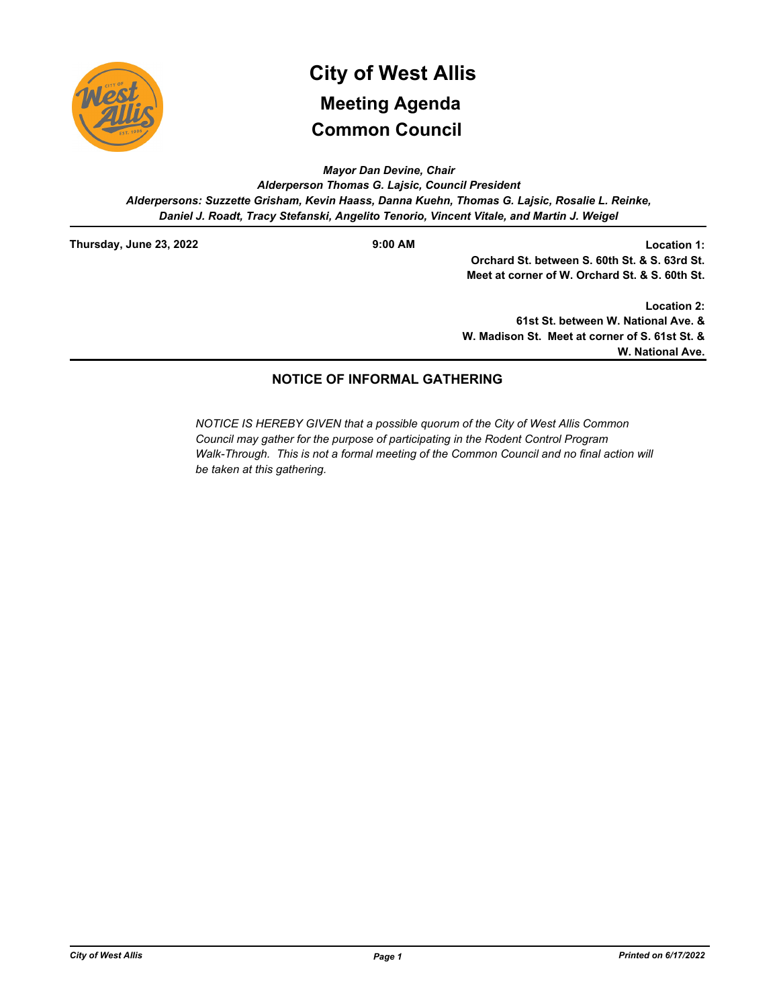

# **Common Council City of West Allis Meeting Agenda**

*Mayor Dan Devine, Chair*

*Alderperson Thomas G. Lajsic, Council President Alderpersons: Suzzette Grisham, Kevin Haass, Danna Kuehn, Thomas G. Lajsic, Rosalie L. Reinke, Daniel J. Roadt, Tracy Stefanski, Angelito Tenorio, Vincent Vitale, and Martin J. Weigel*

**Thursday, June 23, 2022 9:00 AM**

**Location 1: Orchard St. between S. 60th St. & S. 63rd St. Meet at corner of W. Orchard St. & S. 60th St.** 

**Location 2: 61st St. between W. National Ave. & W. Madison St. Meet at corner of S. 61st St. & W. National Ave.**

## **NOTICE OF INFORMAL GATHERING**

*NOTICE IS HEREBY GIVEN that a possible quorum of the City of West Allis Common Council may gather for the purpose of participating in the Rodent Control Program Walk-Through. This is not a formal meeting of the Common Council and no final action will be taken at this gathering.*